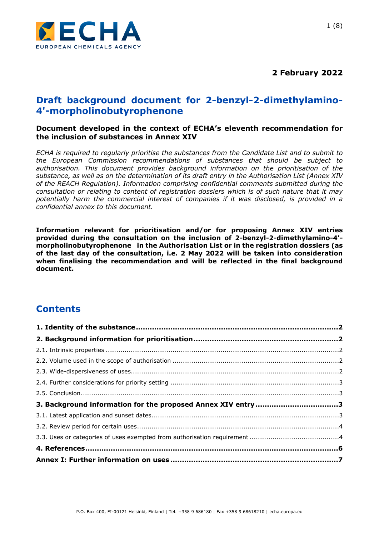

# **Draft background document for 2-benzyl-2-dimethylamino-4'-morpholinobutyrophenone**

#### **Document developed in the context of ECHA's eleventh recommendation for the inclusion of substances in Annex XIV**

*ECHA is required to regularly prioritise the substances from the Candidate List and to submit to the European Commission recommendations of substances that should be subject to authorisation. This document provides background information on the prioritisation of the substance, as well as on the determination of its draft entry in the Authorisation List (Annex XIV of the REACH Regulation). Information comprising confidential comments submitted during the consultation or relating to content of registration dossiers which is of such nature that it may potentially harm the commercial interest of companies if it was disclosed, is provided in a confidential annex to this document.*

**Information relevant for prioritisation and/or for proposing Annex XIV entries provided during the consultation on the inclusion of 2-benzyl-2-dimethylamino-4' morpholinobutyrophenone in the Authorisation List or in the registration dossiers (as of the last day of the consultation, i.e. 2 May 2022 will be taken into consideration when finalising the recommendation and will be reflected in the final background document.**

# **Contents**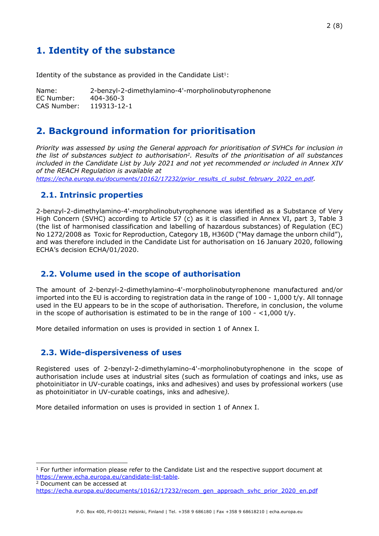# <span id="page-1-0"></span>**1. Identity of the substance**

Identity of the substance as provided in the Candidate List $1$ :

Name: 2-benzyl-2-dimethylamino-4'-morpholinobutyrophenone EC Number: 404-360-3 CAS Number: 119313-12-1

# <span id="page-1-1"></span>**2. Background information for prioritisation**

*Priority was assessed by using the General approach for prioritisation of SVHCs for inclusion in the list of substances subject to authorisation2. Results of the prioritisation of all substances included in the Candidate List by July 2021 and not yet recommended or included in Annex XIV of the REACH Regulation is available at*

*[https://echa.europa.eu/documents/10162/17232/prior\\_results\\_cl\\_subst\\_february\\_2022\\_en.pdf](https://echa.europa.eu/documents/10162/17232/prior_results_cl_subst_february_2022_en.pdf).*

## <span id="page-1-2"></span>**2.1. Intrinsic properties**

2-benzyl-2-dimethylamino-4'-morpholinobutyrophenone was identified as a Substance of Very High Concern (SVHC) according to Article 57 (c) as it is classified in Annex VI, part 3, Table 3 (the list of harmonised classification and labelling of hazardous substances) of Regulation (EC) No 1272/2008 as Toxic for Reproduction, Category 1B, H360D ("May damage the unborn child"), and was therefore included in the Candidate List for authorisation on 16 January 2020, following ECHA's decision ECHA/01/2020.

### <span id="page-1-3"></span>**2.2. Volume used in the scope of authorisation**

The amount of 2-benzyl-2-dimethylamino-4'-morpholinobutyrophenone manufactured and/or imported into the EU is according to registration data in the range of 100 - 1,000 t/y. All tonnage used in the EU appears to be in the scope of authorisation. Therefore, in conclusion, the volume in the scope of authorisation is estimated to be in the range of  $100 - <1,000$  t/y.

More detailed information on uses is provided in section 1 of Annex I.

### <span id="page-1-4"></span>**2.3. Wide-dispersiveness of uses**

Registered uses of 2-benzyl-2-dimethylamino-4'-morpholinobutyrophenone in the scope of authorisation include uses at industrial sites (such as formulation of coatings and inks, use as photoinitiator in UV-curable coatings, inks and adhesives) and uses by professional workers (use as photoinitiator in UV-curable coatings, inks and adhesive*).*

More detailed information on uses is provided in section 1 of Annex I.

 $1$  For further information please refer to the Candidate List and the respective support document at <https://www.echa.europa.eu/candidate-list-table>.

<sup>2</sup> Document can be accessed at [https://echa.europa.eu/documents/10162/17232/recom\\_gen\\_approach\\_svhc\\_prior\\_2020\\_en.pdf](https://echa.europa.eu/documents/10162/17232/recom_gen_approach_svhc_prior_2020_en.pdf)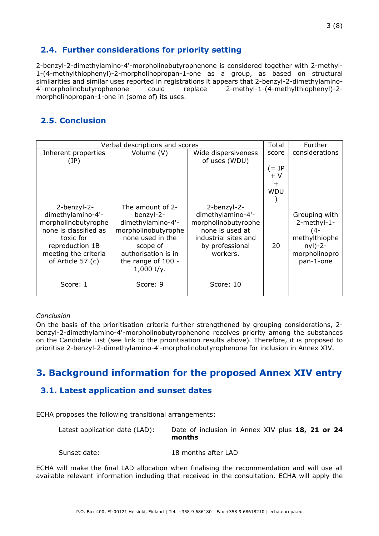# <span id="page-2-0"></span>**2.4. Further considerations for priority setting**

2-benzyl-2-dimethylamino-4'-morpholinobutyrophenone is considered together with 2-methyl-1-(4-methylthiophenyl)-2-morpholinopropan-1-one as a group, as based on structural similarities and similar uses reported in registrations it appears that 2-benzyl-2-dimethylamino-4'-morpholinobutyrophenone could replace 2-methyl-1-(4-methylthiophenyl)-2 morpholinopropan-1-one in (some of) its uses.

# <span id="page-2-1"></span>**2.5. Conclusion**

| Verbal descriptions and scores                                                                                                                                |                                                                                                                                                                        |                                                                                                                                   |               | Further                                                                                         |
|---------------------------------------------------------------------------------------------------------------------------------------------------------------|------------------------------------------------------------------------------------------------------------------------------------------------------------------------|-----------------------------------------------------------------------------------------------------------------------------------|---------------|-------------------------------------------------------------------------------------------------|
| Inherent properties<br>(IP)                                                                                                                                   | Volume (V)                                                                                                                                                             | Wide dispersiveness<br>of uses (WDU)                                                                                              | score         | considerations                                                                                  |
|                                                                                                                                                               |                                                                                                                                                                        |                                                                                                                                   | (= IP<br>$+V$ |                                                                                                 |
|                                                                                                                                                               |                                                                                                                                                                        |                                                                                                                                   | $\pm$         |                                                                                                 |
|                                                                                                                                                               |                                                                                                                                                                        |                                                                                                                                   | <b>WDU</b>    |                                                                                                 |
|                                                                                                                                                               |                                                                                                                                                                        |                                                                                                                                   |               |                                                                                                 |
| 2-benzyl-2-<br>dimethylamino-4'-<br>morpholinobutyrophe<br>none is classified as<br>toxic for<br>reproduction 1B<br>meeting the criteria<br>of Article 57 (c) | The amount of 2-<br>benzyl-2-<br>dimethylamino-4'-<br>morpholinobutyrophe<br>none used in the<br>scope of<br>authorisation is in<br>the range of 100 -<br>$1,000$ t/y. | 2-benzyl-2-<br>dimethylamino-4'-<br>morpholinobutyrophe<br>none is used at<br>industrial sites and<br>by professional<br>workers. | 20            | Grouping with<br>2-methyl-1-<br>(4-<br>methylthiophe<br>$nyI)-2-$<br>morpholinopro<br>pan-1-one |
| Score: 1                                                                                                                                                      | Score: 9                                                                                                                                                               | Score: 10                                                                                                                         |               |                                                                                                 |

#### *Conclusion*

On the basis of the prioritisation criteria further strengthened by grouping considerations, 2 benzyl-2-dimethylamino-4'-morpholinobutyrophenone receives priority among the substances on the Candidate List (see link to the prioritisation results above)*.* Therefore, it is proposed to prioritise 2-benzyl-2-dimethylamino-4'-morpholinobutyrophenone for inclusion in Annex XIV.

# <span id="page-2-2"></span>**3. Background information for the proposed Annex XIV entry**

## <span id="page-2-3"></span>**3.1. Latest application and sunset dates**

ECHA proposes the following transitional arrangements:

| Latest application date (LAD): | Date of inclusion in Annex XIV plus 18, 21 or 24<br>months |
|--------------------------------|------------------------------------------------------------|
| Sunset date:                   | 18 months after LAD                                        |

ECHA will make the final LAD allocation when finalising the recommendation and will use all available relevant information including that received in the consultation. ECHA will apply the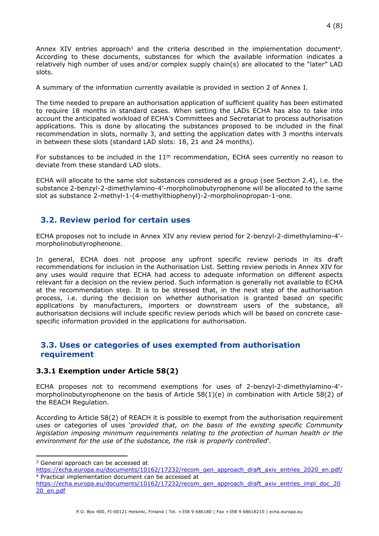Annex XIV entries approach<sup>3</sup> and the criteria described in the implementation document<sup>4</sup>. According to these documents, substances for which the available information indicates a relatively high number of uses and/or complex supply chain(s) are allocated to the "later" LAD slots.

A summary of the information currently available is provided in section 2 of Annex I*.* 

The time needed to prepare an authorisation application of sufficient quality has been estimated to require 18 months in standard cases. When setting the LADs ECHA has also to take into account the anticipated workload of ECHA's Committees and Secretariat to process authorisation applications. This is done by allocating the substances proposed to be included in the final recommendation in slots, normally 3, and setting the application dates with 3 months intervals in between these slots (standard LAD slots: 18, 21 and 24 months).

For substances to be included in the  $11<sup>th</sup>$  recommendation, ECHA sees currently no reason to deviate from these standard LAD slots.

ECHA will allocate to the same slot substances considered as a group (see Section 2.4), i.e. the substance 2-benzyl-2-dimethylamino-4'-morpholinobutyrophenone will be allocated to the same slot as substance 2-methyl-1-(4-methylthiophenyl)-2-morpholinopropan-1-one.

## <span id="page-3-0"></span>**3.2. Review period for certain uses**

ECHA proposes not to include in Annex XIV any review period for 2-benzyl-2-dimethylamino-4' morpholinobutyrophenone.

In general, ECHA does not propose any upfront specific review periods in its draft recommendations for inclusion in the Authorisation List. Setting review periods in Annex XIV for any uses would require that ECHA had access to adequate information on different aspects relevant for a decision on the review period. Such information is generally not available to ECHA at the recommendation step. It is to be stressed that, in the next step of the authorisation process, i.e. during the decision on whether authorisation is granted based on specific applications by manufacturers, importers or downstream users of the substance, all authorisation decisions will include specific review periods which will be based on concrete casespecific information provided in the applications for authorisation.

## <span id="page-3-1"></span>**3.3. Uses or categories of uses exempted from authorisation requirement**

### **3.3.1 Exemption under Article 58(2)**

ECHA proposes not to recommend exemptions for uses of 2-benzyl-2-dimethylamino-4' morpholinobutyrophenone on the basis of Article 58(1)(e) in combination with Article 58(2) of the REACH Regulation.

According to Article 58(2) of REACH it is possible to exempt from the authorisation requirement uses or categories of uses '*provided that, on the basis of the existing specific Community legislation imposing minimum requirements relating to the protection of human health or the environment for the use of the substance, the risk is properly controlled*'.

<sup>&</sup>lt;sup>3</sup> General approach can be accessed at

[https://echa.europa.eu/documents/10162/17232/recom\\_gen\\_approach\\_draft\\_axiv\\_entries\\_2020\\_en.pdf/](https://echa.europa.eu/documents/10162/17232/recom_gen_approach_draft_axiv_entries_2020_en.pdf/) <sup>4</sup> Practical implementation document can be accessed at

[https://echa.europa.eu/documents/10162/17232/recom\\_gen\\_approach\\_draft\\_axiv\\_entries\\_impl\\_doc\\_20](https://echa.europa.eu/documents/10162/17232/recom_gen_approach_draft_axiv_entries_impl_doc_2020_en.pdf) [20\\_en.pdf](https://echa.europa.eu/documents/10162/17232/recom_gen_approach_draft_axiv_entries_impl_doc_2020_en.pdf)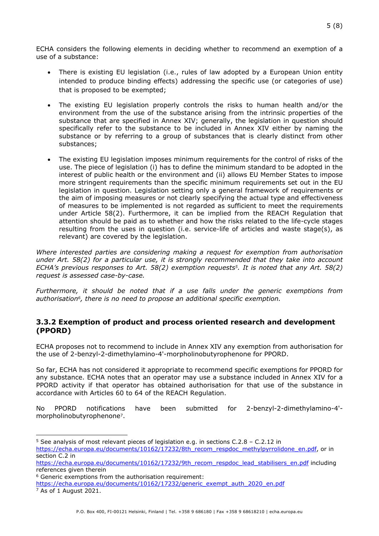ECHA considers the following elements in deciding whether to recommend an exemption of a use of a substance:

- There is existing EU legislation (i.e., rules of law adopted by a European Union entity intended to produce binding effects) addressing the specific use (or categories of use) that is proposed to be exempted;
- The existing EU legislation properly controls the risks to human health and/or the environment from the use of the substance arising from the intrinsic properties of the substance that are specified in Annex XIV; generally, the legislation in question should specifically refer to the substance to be included in Annex XIV either by naming the substance or by referring to a group of substances that is clearly distinct from other substances;
- The existing EU legislation imposes minimum requirements for the control of risks of the use. The piece of legislation (i) has to define the minimum standard to be adopted in the interest of public health or the environment and (ii) allows EU Member States to impose more stringent requirements than the specific minimum requirements set out in the EU legislation in question. Legislation setting only a general framework of requirements or the aim of imposing measures or not clearly specifying the actual type and effectiveness of measures to be implemented is not regarded as sufficient to meet the requirements under Article 58(2). Furthermore, it can be implied from the REACH Regulation that attention should be paid as to whether and how the risks related to the life-cycle stages resulting from the uses in question (i.e. service-life of articles and waste stage(s), as relevant) are covered by the legislation.

*Where interested parties are considering making a request for exemption from authorisation under Art. 58(2) for a particular use, it is strongly recommended that they take into account ECHA's previous responses to Art. 58(2) exemption requests5. It is noted that any Art. 58(2) request is assessed case-by-case.*

*Furthermore, it should be noted that if a use falls under the generic exemptions from authorisation6, there is no need to propose an additional specific exemption.*

#### **3.3.2 Exemption of product and process oriented research and development (PPORD)**

ECHA proposes not to recommend to include in Annex XIV any exemption from authorisation for the use of 2-benzyl-2-dimethylamino-4'-morpholinobutyrophenone for PPORD.

So far, ECHA has not considered it appropriate to recommend specific exemptions for PPORD for any substance. ECHA notes that an operator may use a substance included in Annex XIV for a PPORD activity if that operator has obtained authorisation for that use of the substance in accordance with Articles 60 to 64 of the REACH Regulation.

No PPORD notifications have been submitted for 2-benzyl-2-dimethylamino-4' morpholinobutyrophenone7.

<sup>6</sup> Generic exemptions from the authorisation requirement:

 $5$  See analysis of most relevant pieces of legislation e.g. in sections C.2.8 – C.2.12 in [https://echa.europa.eu/documents/10162/17232/8th\\_recom\\_respdoc\\_methylpyrrolidone\\_en.pdf](https://echa.europa.eu/documents/10162/17232/8th_recom_respdoc_methylpyrrolidone_en.pdf), or in section C.2 in

[https://echa.europa.eu/documents/10162/17232/9th\\_recom\\_respdoc\\_lead\\_stabilisers\\_en.pdf](https://echa.europa.eu/documents/10162/17232/9th_recom_respdoc_lead_stabilisers_en.pdf) including references given therein

[https://echa.europa.eu/documents/10162/17232/generic\\_exempt\\_auth\\_2020\\_en.pdf](https://echa.europa.eu/documents/10162/17232/generic_exempt_auth_2020_en.pdf) 7 As of 1 August 2021.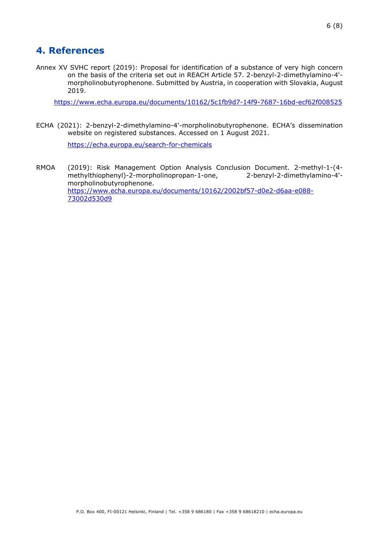<span id="page-5-0"></span>Annex XV SVHC report (2019): Proposal for identification of a substance of very high concern on the basis of the criteria set out in REACH Article 57. 2-benzyl-2-dimethylamino-4' morpholinobutyrophenone. Submitted by Austria, in cooperation with Slovakia, August 2019.

<https://www.echa.europa.eu/documents/10162/5c1fb9d7-14f9-7687-16bd-ecf62f008525>

ECHA (2021): 2-benzyl-2-dimethylamino-4'-morpholinobutyrophenone. ECHA's dissemination website on registered substances. Accessed on 1 August 2021.

<https://echa.europa.eu/search-for-chemicals>

RMOA (2019): Risk Management Option Analysis Conclusion Document. 2-methyl-1-(4 methylthiophenyl)-2-morpholinopropan-1-one, 2-benzyl-2-dimethylamino-4' morpholinobutyrophenone. [https://www.echa.europa.eu/documents/10162/2002bf57-d0e2-d6aa-e088-](https://www.echa.europa.eu/documents/10162/2002bf57-d0e2-d6aa-e088-73002d530d9d) [73002d530d9](https://www.echa.europa.eu/documents/10162/2002bf57-d0e2-d6aa-e088-73002d530d9d)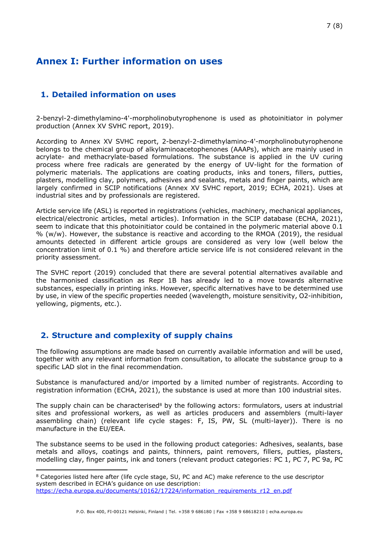# <span id="page-6-0"></span>**Annex I: Further information on uses**

# **1. Detailed information on uses**

2-benzyl-2-dimethylamino-4'-morpholinobutyrophenone is used as photoinitiator in polymer production (Annex XV SVHC report, 2019).

According to Annex XV SVHC report, 2-benzyl-2-dimethylamino-4'-morpholinobutyrophenone belongs to the chemical group of alkylaminoacetophenones (AAAPs), which are mainly used in acrylate- and methacrylate-based formulations. The substance is applied in the UV curing process where free radicals are generated by the energy of UV-light for the formation of polymeric materials. The applications are coating products, inks and toners, fillers, putties, plasters, modelling clay, polymers, adhesives and sealants, metals and finger paints, which are largely confirmed in SCIP notifications (Annex XV SVHC report, 2019; ECHA, 2021). Uses at industrial sites and by professionals are registered.

Article service life (ASL) is reported in registrations (vehicles, machinery, mechanical appliances, electrical/electronic articles, metal articles). Information in the SCIP database (ECHA, 2021), seem to indicate that this photoinitiator could be contained in the polymeric material above 0.1 % (w/w). However, the substance is reactive and according to the RMOA (2019), the residual amounts detected in different article groups are considered as very low (well below the concentration limit of 0.1 %) and therefore article service life is not considered relevant in the priority assessment.

The SVHC report (2019) concluded that there are several potential alternatives available and the harmonised classification as Repr 1B has already led to a move towards alternative substances, especially in printing inks. However, specific alternatives have to be determined use by use, in view of the specific properties needed (wavelength, moisture sensitivity, O2-inhibition, yellowing, pigments, etc.).

## **2. Structure and complexity of supply chains**

The following assumptions are made based on currently available information and will be used, together with any relevant information from consultation, to allocate the substance group to a specific LAD slot in the final recommendation.

Substance is manufactured and/or imported by a limited number of registrants. According to registration information (ECHA, 2021), the substance is used at more than 100 industrial sites.

The supply chain can be characterised<sup>8</sup> by the following actors: formulators, users at industrial sites and professional workers, as well as articles producers and assemblers (multi-layer assembling chain) (relevant life cycle stages: F, IS, PW, SL (multi-layer)). There is no manufacture in the EU/EEA.

The substance seems to be used in the following product categories: Adhesives, sealants, base metals and alloys, coatings and paints, thinners, paint removers, fillers, putties, plasters, modelling clay, finger paints, ink and toners (relevant product categories: PC 1, PC 7, PC 9a, PC

<sup>8</sup> Categories listed here after (life cycle stage, SU, PC and AC) make reference to the use descriptor system described in ECHA's guidance on use description: [https://echa.europa.eu/documents/10162/17224/information\\_requirements\\_r12\\_en.pdf](https://echa.europa.eu/documents/10162/17224/information_requirements_r12_en.pdf)